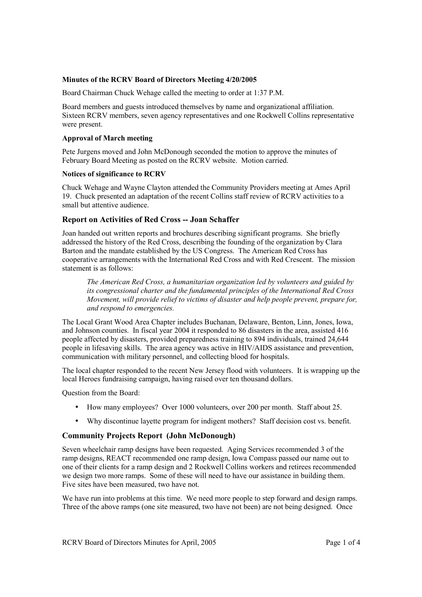### **Minutes of the RCRV Board of Directors Meeting 4/20/2005**

Board Chairman Chuck Wehage called the meeting to order at 1:37 P.M.

Board members and guests introduced themselves by name and organizational affiliation. Sixteen RCRV members, seven agency representatives and one Rockwell Collins representative were present.

### **Approval of March meeting**

Pete Jurgens moved and John McDonough seconded the motion to approve the minutes of February Board Meeting as posted on the RCRV website. Motion carried.

### **Notices of significance to RCRV**

Chuck Wehage and Wayne Clayton attended the Community Providers meeting at Ames April 19. Chuck presented an adaptation of the recent Collins staff review of RCRV activities to a small but attentive audience.

# **Report on Activities of Red Cross -- Joan Schaffer**

Joan handed out written reports and brochures describing significant programs. She briefly addressed the history of the Red Cross, describing the founding of the organization by Clara Barton and the mandate established by the US Congress. The American Red Cross has cooperative arrangements with the International Red Cross and with Red Crescent. The mission statement is as follows:

*The American Red Cross, a humanitarian organization led by volunteers and guided by its congressional charter and the fundamental principles of the International Red Cross Movement, will provide relief to victims of disaster and help people prevent, prepare for, and respond to emergencies.* 

The Local Grant Wood Area Chapter includes Buchanan, Delaware, Benton, Linn, Jones, Iowa, and Johnson counties. In fiscal year 2004 it responded to 86 disasters in the area, assisted 416 people affected by disasters, provided preparedness training to 894 individuals, trained 24,644 people in lifesaving skills. The area agency was active in HIV/AIDS assistance and prevention, communication with military personnel, and collecting blood for hospitals.

The local chapter responded to the recent New Jersey flood with volunteers. It is wrapping up the local Heroes fundraising campaign, having raised over ten thousand dollars.

Question from the Board:

- How many employees? Over 1000 volunteers, over 200 per month. Staff about 25.
- Why discontinue layette program for indigent mothers? Staff decision cost vs. benefit.

## **Community Projects Report (John McDonough)**

Seven wheelchair ramp designs have been requested. Aging Services recommended 3 of the ramp designs, REACT recommended one ramp design, Iowa Compass passed our name out to one of their clients for a ramp design and 2 Rockwell Collins workers and retirees recommended we design two more ramps. Some of these will need to have our assistance in building them. Five sites have been measured, two have not.

We have run into problems at this time. We need more people to step forward and design ramps. Three of the above ramps (one site measured, two have not been) are not being designed. Once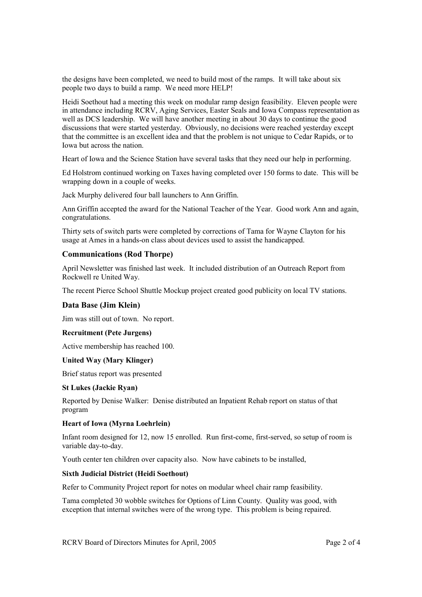the designs have been completed, we need to build most of the ramps. It will take about six people two days to build a ramp. We need more HELP!

Heidi Soethout had a meeting this week on modular ramp design feasibility. Eleven people were in attendance including RCRV, Aging Services, Easter Seals and Iowa Compass representation as well as DCS leadership. We will have another meeting in about 30 days to continue the good discussions that were started yesterday. Obviously, no decisions were reached yesterday except that the committee is an excellent idea and that the problem is not unique to Cedar Rapids, or to Iowa but across the nation.

Heart of Iowa and the Science Station have several tasks that they need our help in performing.

Ed Holstrom continued working on Taxes having completed over 150 forms to date. This will be wrapping down in a couple of weeks.

Jack Murphy delivered four ball launchers to Ann Griffin.

Ann Griffin accepted the award for the National Teacher of the Year. Good work Ann and again, congratulations.

Thirty sets of switch parts were completed by corrections of Tama for Wayne Clayton for his usage at Ames in a hands-on class about devices used to assist the handicapped.

## **Communications (Rod Thorpe)**

April Newsletter was finished last week. It included distribution of an Outreach Report from Rockwell re United Way.

The recent Pierce School Shuttle Mockup project created good publicity on local TV stations.

## **Data Base (Jim Klein)**

Jim was still out of town. No report.

## **Recruitment (Pete Jurgens)**

Active membership has reached 100.

## **United Way (Mary Klinger)**

Brief status report was presented

#### **St Lukes (Jackie Ryan)**

Reported by Denise Walker: Denise distributed an Inpatient Rehab report on status of that program

## **Heart of Iowa (Myrna Loehrlein)**

Infant room designed for 12, now 15 enrolled. Run first-come, first-served, so setup of room is variable day-to-day.

Youth center ten children over capacity also. Now have cabinets to be installed,

## **Sixth Judicial District (Heidi Soethout)**

Refer to Community Project report for notes on modular wheel chair ramp feasibility.

Tama completed 30 wobble switches for Options of Linn County. Quality was good, with exception that internal switches were of the wrong type. This problem is being repaired.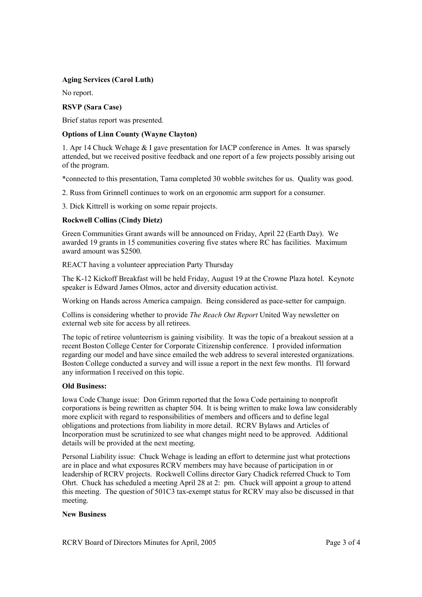## **Aging Services (Carol Luth)**

No report.

### **RSVP (Sara Case)**

Brief status report was presented.

### **Options of Linn County (Wayne Clayton)**

1. Apr 14 Chuck Wehage & I gave presentation for IACP conference in Ames. It was sparsely attended, but we received positive feedback and one report of a few projects possibly arising out of the program.

\*connected to this presentation, Tama completed 30 wobble switches for us. Quality was good.

2. Russ from Grinnell continues to work on an ergonomic arm support for a consumer.

3. Dick Kittrell is working on some repair projects.

## **Rockwell Collins (Cindy Dietz)**

Green Communities Grant awards will be announced on Friday, April 22 (Earth Day). We awarded 19 grants in 15 communities covering five states where RC has facilities. Maximum award amount was \$2500.

REACT having a volunteer appreciation Party Thursday

The K-12 Kickoff Breakfast will be held Friday, August 19 at the Crowne Plaza hotel. Keynote speaker is Edward James Olmos, actor and diversity education activist.

Working on Hands across America campaign. Being considered as pace-setter for campaign.

Collins is considering whether to provide *The Reach Out Report* United Way newsletter on external web site for access by all retirees.

The topic of retiree volunteerism is gaining visibility. It was the topic of a breakout session at a recent Boston College Center for Corporate Citizenship conference. I provided information regarding our model and have since emailed the web address to several interested organizations. Boston College conducted a survey and will issue a report in the next few months. I'll forward any information I received on this topic.

#### **Old Business:**

Iowa Code Change issue: Don Grimm reported that the Iowa Code pertaining to nonprofit corporations is being rewritten as chapter 504. It is being written to make Iowa law considerably more explicit with regard to responsibilities of members and officers and to define legal obligations and protections from liability in more detail. RCRV Bylaws and Articles of Incorporation must be scrutinized to see what changes might need to be approved. Additional details will be provided at the next meeting.

Personal Liability issue: Chuck Wehage is leading an effort to determine just what protections are in place and what exposures RCRV members may have because of participation in or leadership of RCRV projects. Rockwell Collins director Gary Chadick referred Chuck to Tom Ohrt. Chuck has scheduled a meeting April 28 at 2: pm. Chuck will appoint a group to attend this meeting. The question of 501C3 tax-exempt status for RCRV may also be discussed in that meeting.

#### **New Business**